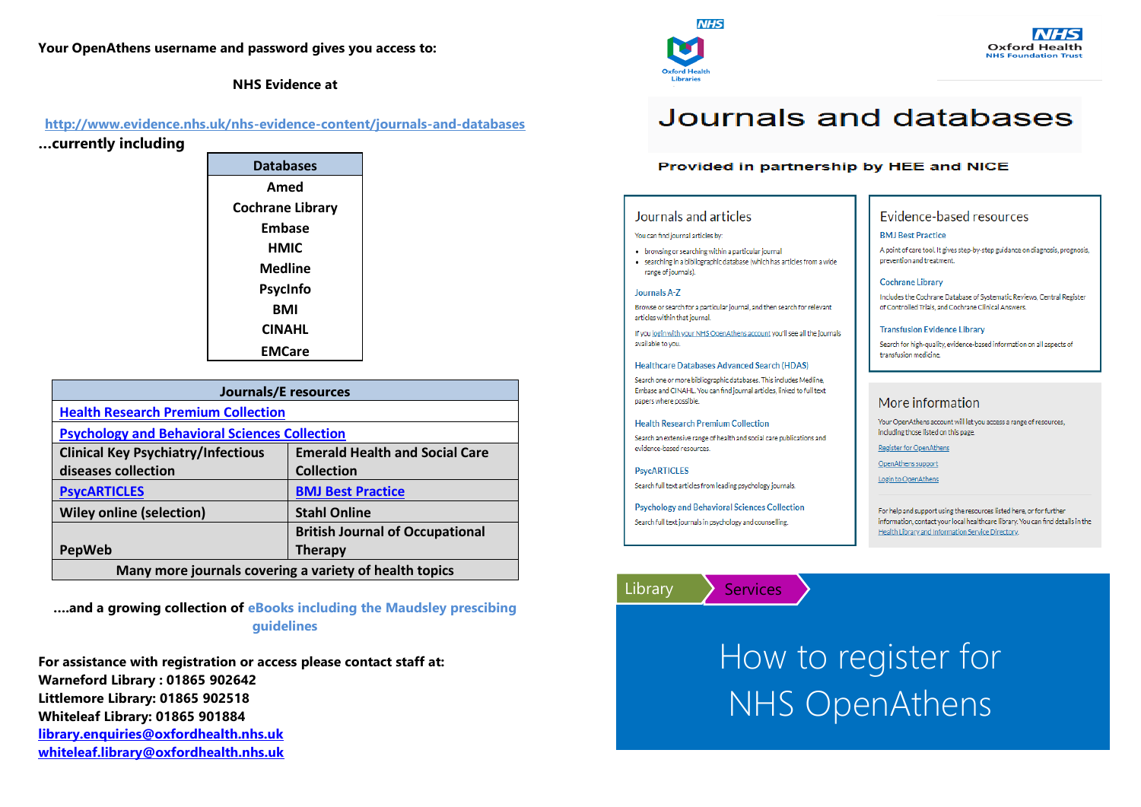## **Your OpenAthens username and password gives you access to:**

**NHS Evidence at**

## **<http://www.evidence.nhs.uk/nhs-evidence-content/journals-and-databases>**

**…currently including** 

| <b>Databases</b> |  |
|------------------|--|
| Amed             |  |
| Cochrane Library |  |
| Embase           |  |
| нміс             |  |
| Medline          |  |
| PsycInfo         |  |
| BMI              |  |
| <b>CINAHL</b>    |  |
| <b>FMCare</b>    |  |

| <b>Journals/E</b> resources                            |                                        |  |
|--------------------------------------------------------|----------------------------------------|--|
| <b>Health Research Premium Collection</b>              |                                        |  |
| <b>Psychology and Behavioral Sciences Collection</b>   |                                        |  |
| <b>Clinical Key Psychiatry/Infectious</b>              | <b>Emerald Health and Social Care</b>  |  |
| diseases collection                                    | <b>Collection</b>                      |  |
| <b>PsycARTICLES</b>                                    | <b>BMJ Best Practice</b>               |  |
| <b>Wiley online (selection)</b>                        | <b>Stahl Online</b>                    |  |
|                                                        | <b>British Journal of Occupational</b> |  |
| <b>PepWeb</b>                                          | <b>Therapy</b>                         |  |
| Many more journals covering a variety of health topics |                                        |  |

**….and a growing collection of eBooks including the Maudsley prescibing guidelines**

**For assistance with registration or access please contact staff at: Warneford Library : 01865 902642 Littlemore Library: 01865 902518 Whiteleaf Library: 01865 901884 [library.enquiries@oxfordhealth.nhs.uk](mailto:library.enquiries@oxfordhealth.nhs.uk) [whiteleaf.library@oxfordhealth.nhs.uk](mailto:whiteleaf.library@oxfordhealth.nhs.uk)**



# Journals and databases

## Provided in partnership by HEE and NICE

### Journals and articles

#### You can find journal articles by:

• browsing or searching within a particular journal . searching in a bibliographic database (which has articles from a wide range of journals).

#### Journals A-Z

Browse or search for a particular journal, and then search for relevant articles within that journal.

If you login with your NHS OpenAthens account you'll see all the journals available to you.

#### Healthcare Databases Advanced Search (HDAS)

Search one or more bibliographic databases. This includes Medline, Embase and CINAHL. You can find journal articles, linked to full text papers where possible.

#### **Health Research Premium Collection**

Search an extensive range of health and social care publications and evidence-based resources

**PsycARTICLES** Search full text articles from leading psychology journals.

**Psychology and Behavioral Sciences Collection** Search full text journals in psychology and counselling.

Library > Services

Evidence-based resources

#### **BMJ** Best Practice

A point of care tool. It gives step-by-step guidance on diagnosis, prognosis, prevention and treatment.

#### **Cochrane Library**

Includes the Cochrane Database of Systematic Reviews, Central Register of Controlled Trials, and Cochrane Clinical Answers.

#### **Transfusion Evidence Library**

Search for high-quality, evidence-based information on all aspects of transfusion medicine.

### More information

Your OpenAthens account will let you access a range of resources, including those listed on this page.

Register for OpenAthens

OpenAthens support

Login to OpenAthens

For help and support using the resources listed here, or for further information, contact your local healthcare library. You can find details in the Health Library and Information Service Directory.



where  $\alpha$  is the contract of  $\alpha$  is the contract of  $\alpha$